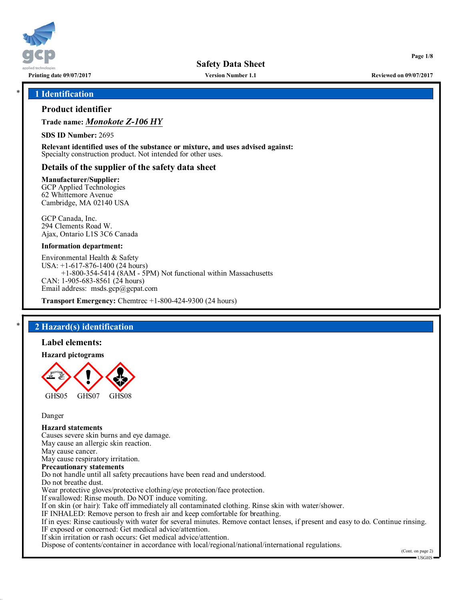

**Printing date 09/07/2017 Version Number 1.1 Reviewed on 09/07/2017**

**Page 1/8**

### \* **1 Identification**

## **Product identifier**

**Trade name:** *Monokote Z-106 HY*

**SDS ID Number:** 2695

**Relevant identified uses of the substance or mixture, and uses advised against:** Specialty construction product. Not intended for other uses.

## **Details of the supplier of the safety data sheet**

**Manufacturer/Supplier:**

GCP Applied Technologies 62 Whittemore Avenue Cambridge, MA 02140 USA

GCP Canada, Inc. 294 Clements Road W. Ajax, Ontario L1S 3C6 Canada

### **Information department:**

Environmental Health & Safety USA: +1-617-876-1400 (24 hours) +1-800-354-5414 (8AM - 5PM) Not functional within Massachusetts CAN: 1-905-683-8561 (24 hours) Email address: msds.gcp@gcpat.com

**Transport Emergency:** Chemtrec +1-800-424-9300 (24 hours)

## \* **2 Hazard(s) identification**

#### **Label elements:**

**Hazard pictograms**



Danger

#### **Hazard statements**

Causes severe skin burns and eye damage. May cause an allergic skin reaction. May cause cancer. May cause respiratory irritation. **Precautionary statements** Do not handle until all safety precautions have been read and understood. Do not breathe dust. Wear protective gloves/protective clothing/eye protection/face protection. If swallowed: Rinse mouth. Do NOT induce vomiting. If on skin (or hair): Take off immediately all contaminated clothing. Rinse skin with water/shower. IF INHALED: Remove person to fresh air and keep comfortable for breathing. If in eyes: Rinse cautiously with water for several minutes. Remove contact lenses, if present and easy to do. Continue rinsing. IF exposed or concerned: Get medical advice/attention. If skin irritation or rash occurs: Get medical advice/attention.

Dispose of contents/container in accordance with local/regional/national/international regulations.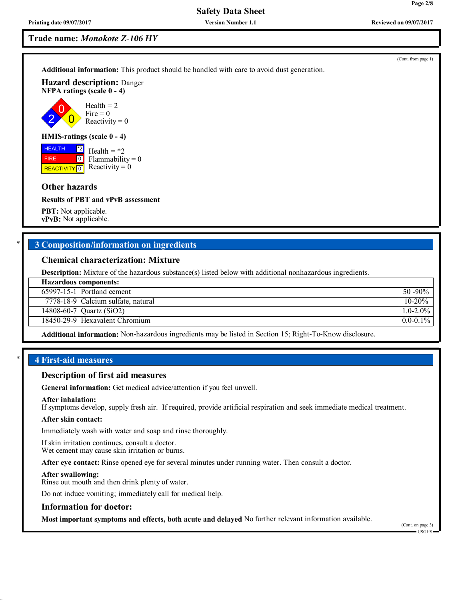## **Trade name:** *Monokote Z-106 HY*

**Additional information:** This product should be handled with care to avoid dust generation.

**Hazard description:** Danger **NFPA ratings (scale 0 - 4)**



## **HMIS-ratings (scale 0 - 4)**

**HEALTH**  FIRE **REACTIVITY** 0 \*2  $\boxed{0}$ 

Health  $= *2$  $Flammability = 0$ Reactivity  $= 0$ 

## **Other hazards**

**Results of PBT and vPvB assessment**

**PBT:** Not applicable. **vPvB:** Not applicable.

## \* **3 Composition/information on ingredients**

#### **Chemical characterization: Mixture**

**Description:** Mixture of the hazardous substance(s) listed below with additional nonhazardous ingredients.

| <b>Hazardous components:</b> |                                                 |               |  |
|------------------------------|-------------------------------------------------|---------------|--|
|                              | $65997 - 15 - 1$ Portland cement                | $50 - 90\%$   |  |
|                              | $\overline{7778-18-9}$ Calcium sulfate, natural | $10 - 20%$    |  |
|                              | $\sqrt{14808 - 60 - 7}$ Quartz (SiO2)           | $1.0 - 2.0\%$ |  |
|                              | 18450-29-9 Hexavalent Chromium                  | $0.0 - 0.1\%$ |  |
|                              |                                                 |               |  |

**Additional information:** Non-hazardous ingredients may be listed in Section 15; Right-To-Know disclosure.

## \* **4 First-aid measures**

### **Description of first aid measures**

**General information:** Get medical advice/attention if you feel unwell.

#### **After inhalation:**

If symptoms develop, supply fresh air. If required, provide artificial respiration and seek immediate medical treatment.

#### **After skin contact:**

Immediately wash with water and soap and rinse thoroughly.

If skin irritation continues, consult a doctor. Wet cement may cause skin irritation or burns.

**After eye contact:** Rinse opened eye for several minutes under running water. Then consult a doctor.

#### **After swallowing:**

Rinse out mouth and then drink plenty of water.

Do not induce vomiting; immediately call for medical help.

#### **Information for doctor:**

**Most important symptoms and effects, both acute and delayed** No further relevant information available.

**Page 2/8**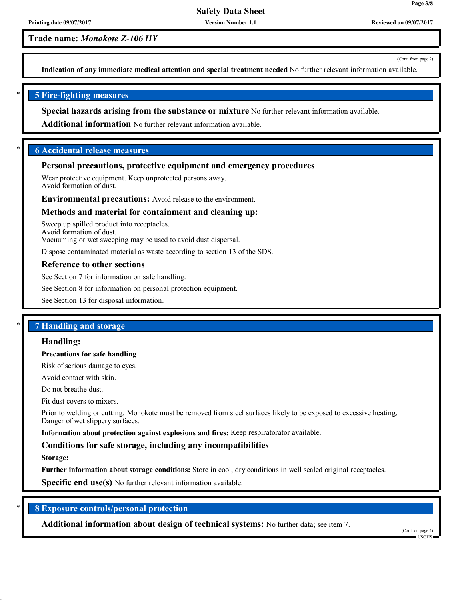**Printing date 09/07/2017 Version Number 1.1 Reviewed on 09/07/2017**

**Trade name:** *Monokote Z-106 HY*

(Cont. from page 2)

**Page 3/8**

**Indication of any immediate medical attention and special treatment needed** No further relevant information available.

## \* **5 Fire-fighting measures**

**Special hazards arising from the substance or mixture** No further relevant information available.

**Additional information** No further relevant information available.

## \* **6 Accidental release measures**

## **Personal precautions, protective equipment and emergency procedures**

Wear protective equipment. Keep unprotected persons away. Avoid formation of dust.

**Environmental precautions:** Avoid release to the environment.

## **Methods and material for containment and cleaning up:**

Sweep up spilled product into receptacles. Avoid formation of dust.

Vacuuming or wet sweeping may be used to avoid dust dispersal.

Dispose contaminated material as waste according to section 13 of the SDS.

### **Reference to other sections**

See Section 7 for information on safe handling.

See Section 8 for information on personal protection equipment.

See Section 13 for disposal information.

## \* **7 Handling and storage**

#### **Handling:**

#### **Precautions for safe handling**

Risk of serious damage to eyes.

Avoid contact with skin.

Do not breathe dust.

Fit dust covers to mixers.

Prior to welding or cutting, Monokote must be removed from steel surfaces likely to be exposed to excessive heating. Danger of wet slippery surfaces.

**Information about protection against explosions and fires:** Keep respiratorator available.

## **Conditions for safe storage, including any incompatibilities**

**Storage:**

**Further information about storage conditions:** Store in cool, dry conditions in well sealed original receptacles.

**Specific end use(s)** No further relevant information available.

## \* **8 Exposure controls/personal protection**

**Additional information about design of technical systems:** No further data; see item 7.

(Cont. on page 4) USGHS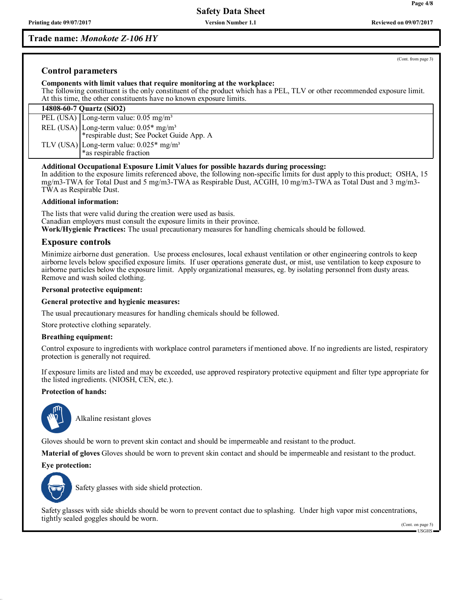## **Trade name:** *Monokote Z-106 HY*

**Printing date 09/07/2017 Version Number 1.1 Reviewed on 09/07/2017**

(Cont. from page 3)

## **Control parameters**

#### **Components with limit values that require monitoring at the workplace:**

The following constituent is the only constituent of the product which has a PEL, TLV or other recommended exposure limit. At this time, the other constituents have no known exposure limits.

| 14808-60-7 Quartz (SiO2) |                                                                                                   |  |
|--------------------------|---------------------------------------------------------------------------------------------------|--|
|                          | PEL (USA) Long-term value: $0.05 \text{ mg/m}^3$                                                  |  |
|                          | REL (USA) Long-term value: $0.05*$ mg/m <sup>3</sup><br>*respirable dust; See Pocket Guide App. A |  |
|                          | TLV (USA) Long-term value: $0.025*$ mg/m <sup>3</sup><br>*as respirable fraction                  |  |

#### **Additional Occupational Exposure Limit Values for possible hazards during processing:**

In addition to the exposure limits referenced above, the following non-specific limits for dust apply to this product; OSHA, 15 mg/m3-TWA for Total Dust and 5 mg/m3-TWA as Respirable Dust, ACGIH, 10 mg/m3-TWA as Total Dust and 3 mg/m3- TWA as Respirable Dust.

#### **Additional information:**

The lists that were valid during the creation were used as basis. Canadian employers must consult the exposure limits in their province. **Work/Hygienic Practices:** The usual precautionary measures for handling chemicals should be followed.

## **Exposure controls**

Minimize airborne dust generation. Use process enclosures, local exhaust ventilation or other engineering controls to keep airborne levels below specified exposure limits. If user operations generate dust, or mist, use ventilation to keep exposure to airborne particles below the exposure limit. Apply organizational measures, eg. by isolating personnel from dusty areas. Remove and wash soiled clothing.

#### **Personal protective equipment:**

#### **General protective and hygienic measures:**

The usual precautionary measures for handling chemicals should be followed.

Store protective clothing separately.

#### **Breathing equipment:**

Control exposure to ingredients with workplace control parameters if mentioned above. If no ingredients are listed, respiratory protection is generally not required.

If exposure limits are listed and may be exceeded, use approved respiratory protective equipment and filter type appropriate for the listed ingredients. (NIOSH, CEN, etc.).

## **Protection of hands:**



\_SAlkaline resistant gloves

Gloves should be worn to prevent skin contact and should be impermeable and resistant to the product.

**Material of gloves** Gloves should be worn to prevent skin contact and should be impermeable and resistant to the product.

#### **Eye protection:**



Safety glasses with side shield protection.

Safety glasses with side shields should be worn to prevent contact due to splashing. Under high vapor mist concentrations, tightly sealed goggles should be worn.

(Cont. on page 5) USGHS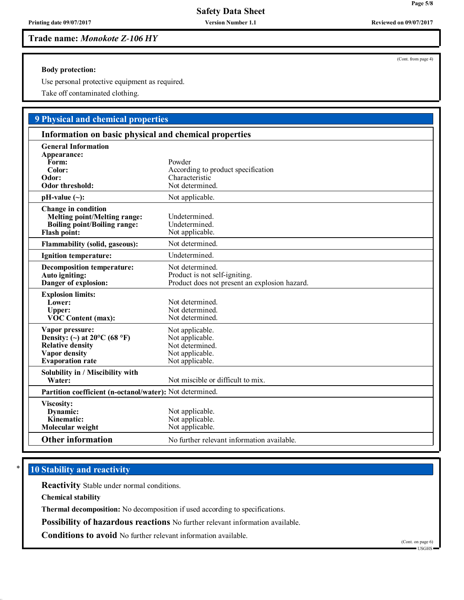**Trade name:** *Monokote Z-106 HY*

**Body protection:**

Use personal protective equipment as required.

Take off contaminated clothing.

# **9 Physical and chemical properties**

| Information on basic physical and chemical properties                                                                                   |                                                                                                   |  |
|-----------------------------------------------------------------------------------------------------------------------------------------|---------------------------------------------------------------------------------------------------|--|
| <b>General Information</b><br>Appearance:<br>Form:<br>Color:<br>Odor:<br><b>Odor threshold:</b>                                         | Powder<br>According to product specification<br>Characteristic<br>Not determined.                 |  |
| $pH-value (\sim):$                                                                                                                      | Not applicable.                                                                                   |  |
| <b>Change in condition</b><br><b>Melting point/Melting range:</b><br><b>Boiling point/Boiling range:</b><br><b>Flash point:</b>         | Undetermined.<br>Undetermined.<br>Not applicable.                                                 |  |
| <b>Flammability (solid, gaseous):</b>                                                                                                   | Not determined.                                                                                   |  |
| Ignition temperature:                                                                                                                   | Undetermined.                                                                                     |  |
| <b>Decomposition temperature:</b><br>Auto igniting:<br>Danger of explosion:                                                             | Not determined.<br>Product is not self-igniting.<br>Product does not present an explosion hazard. |  |
| <b>Explosion limits:</b><br>Lower:<br>Upper:<br><b>VOC Content (max):</b>                                                               | Not determined.<br>Not determined.<br>Not determined.                                             |  |
| Vapor pressure:<br>Density: (~) at $20^{\circ}$ C (68 °F)<br><b>Relative density</b><br><b>Vapor</b> density<br><b>Evaporation</b> rate | Not applicable.<br>Not applicable.<br>Not determined.<br>Not applicable.<br>Not applicable.       |  |
| Solubility in / Miscibility with<br>Water:                                                                                              | Not miscible or difficult to mix.                                                                 |  |
| Partition coefficient (n-octanol/water): Not determined.                                                                                |                                                                                                   |  |
| Viscosity:<br>Dynamic:<br>Kinematic:<br>Molecular weight                                                                                | Not applicable.<br>Not applicable.<br>Not applicable.                                             |  |
| <b>Other information</b>                                                                                                                | No further relevant information available.                                                        |  |

# **10 Stability and reactivity**

**Reactivity** Stable under normal conditions.

**Chemical stability**

**Thermal decomposition:** No decomposition if used according to specifications.

**Possibility of hazardous reactions** No further relevant information available.

**Conditions to avoid** No further relevant information available.

(Cont. on page 6) USGHS

**Page 5/8**

(Cont. from page 4)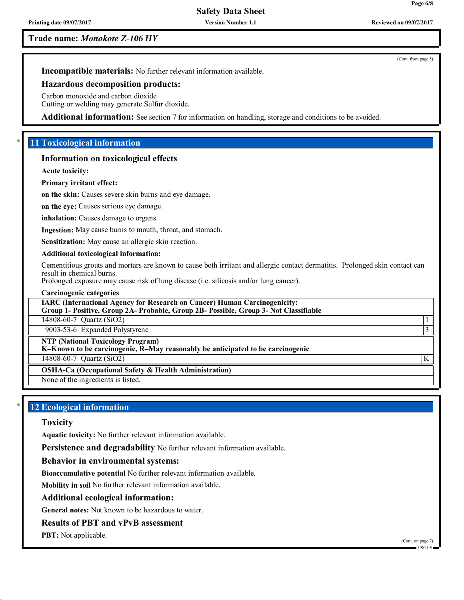**Page 6/8**

(Cont. from page 5)

## **Trade name:** *Monokote Z-106 HY*

**Incompatible materials:** No further relevant information available.

#### **Hazardous decomposition products:**

Carbon monoxide and carbon dioxide Cutting or welding may generate Sulfur dioxide.

**Additional information:** See section 7 for information on handling, storage and conditions to be avoided.

## \* **11 Toxicological information**

## **Information on toxicological effects**

**Acute toxicity:**

### **Primary irritant effect:**

**on the skin:** Causes severe skin burns and eye damage.

**on the eye:** Causes serious eye damage.

**inhalation:** Causes damage to organs.

**Ingestion:** May cause burns to mouth, throat, and stomach.

**Sensitization:** May cause an allergic skin reaction.

### **Additional toxicological information:**

Cementitious grouts and mortars are known to cause both irritant and allergic contact dermatitis. Prolonged skin contact can result in chemical burns.

Prolonged exposure may cause risk of lung disease (i.e. silicosis and/or lung cancer).

#### **Carcinogenic categories**

**IARC (International Agency for Research on Cancer) Human Carcinogenicity: Group 1- Positive, Group 2A- Probable, Group 2B- Possible, Group 3- Not Classifiable**

14808-60-7 Quartz (SiO2) 1

9003-53-6 Expanded Polystyrene 3

## **NTP (National Toxicology Program)**

**K–Known to be carcinogenic, R–May reasonably be anticipated to be carcinogenic**

14808-60-7 Quartz (SiO2) K

**OSHA-Ca (Occupational Safety & Health Administration)**

None of the ingredients is listed.

## **12 Ecological information**

### **Toxicity**

**Aquatic toxicity:** No further relevant information available.

**Persistence and degradability** No further relevant information available.

#### **Behavior in environmental systems:**

**Bioaccumulative potential** No further relevant information available.

**Mobility in soil** No further relevant information available.

#### **Additional ecological information:**

**General notes:** Not known to be hazardous to water.

## **Results of PBT and vPvB assessment**

**PBT:** Not applicable.

(Cont. on page 7)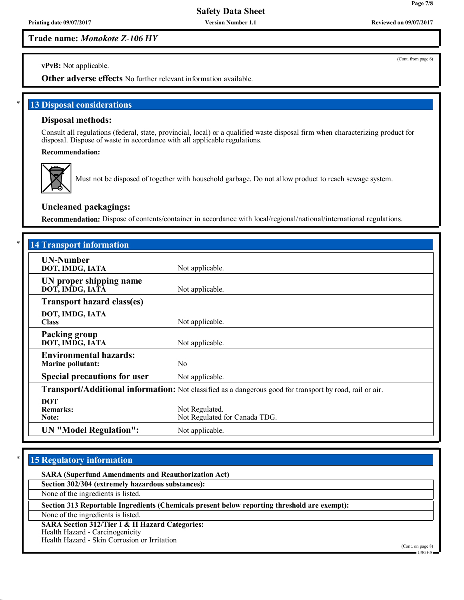**Printing date 09/07/2017 Version Number 1.1 Reviewed on 09/07/2017**

**Trade name:** *Monokote Z-106 HY*

(Cont. from page 6)

**vPvB:** Not applicable.

**Other adverse effects** No further relevant information available.

**13 Disposal considerations** 

## **Disposal methods:**

Consult all regulations (federal, state, provincial, local) or a qualified waste disposal firm when characterizing product for disposal. Dispose of waste in accordance with all applicable regulations.

**Recommendation:**



Must not be disposed of together with household garbage. Do not allow product to reach sewage system.

## **Uncleaned packagings:**

**Recommendation:** Dispose of contents/container in accordance with local/regional/national/international regulations.

| <b>14 Transport information</b>                                                                          |                                                 |  |  |  |
|----------------------------------------------------------------------------------------------------------|-------------------------------------------------|--|--|--|
| <b>UN-Number</b><br>DOT, IMDG, IATA                                                                      | Not applicable.                                 |  |  |  |
| UN proper shipping name<br>DOT, IMDG, IATA                                                               | Not applicable.                                 |  |  |  |
| <b>Transport hazard class(es)</b>                                                                        |                                                 |  |  |  |
| DOT, IMDG, IATA<br><b>Class</b>                                                                          | Not applicable.                                 |  |  |  |
| Packing group<br>DOT, IMDG, IATA                                                                         | Not applicable.                                 |  |  |  |
| <b>Environmental hazards:</b><br><b>Marine pollutant:</b>                                                | No                                              |  |  |  |
| <b>Special precautions for user</b>                                                                      | Not applicable.                                 |  |  |  |
| Transport/Additional information: Not classified as a dangerous good for transport by road, rail or air. |                                                 |  |  |  |
| <b>DOT</b><br><b>Remarks:</b><br>Note:                                                                   | Not Regulated.<br>Not Regulated for Canada TDG. |  |  |  |
| <b>UN</b> "Model Regulation":                                                                            | Not applicable.                                 |  |  |  |

## **15 Regulatory information**

**SARA (Superfund Amendments and Reauthorization Act)**

**Section 302/304 (extremely hazardous substances):**

None of the ingredients is listed.

**Section 313 Reportable Ingredients (Chemicals present below reporting threshold are exempt):**

None of the ingredients is listed.

**SARA Section 312/Tier I & II Hazard Categories:**

Health Hazard - Carcinogenicity

Health Hazard - Skin Corrosion or Irritation

(Cont. on page 8) USGHS